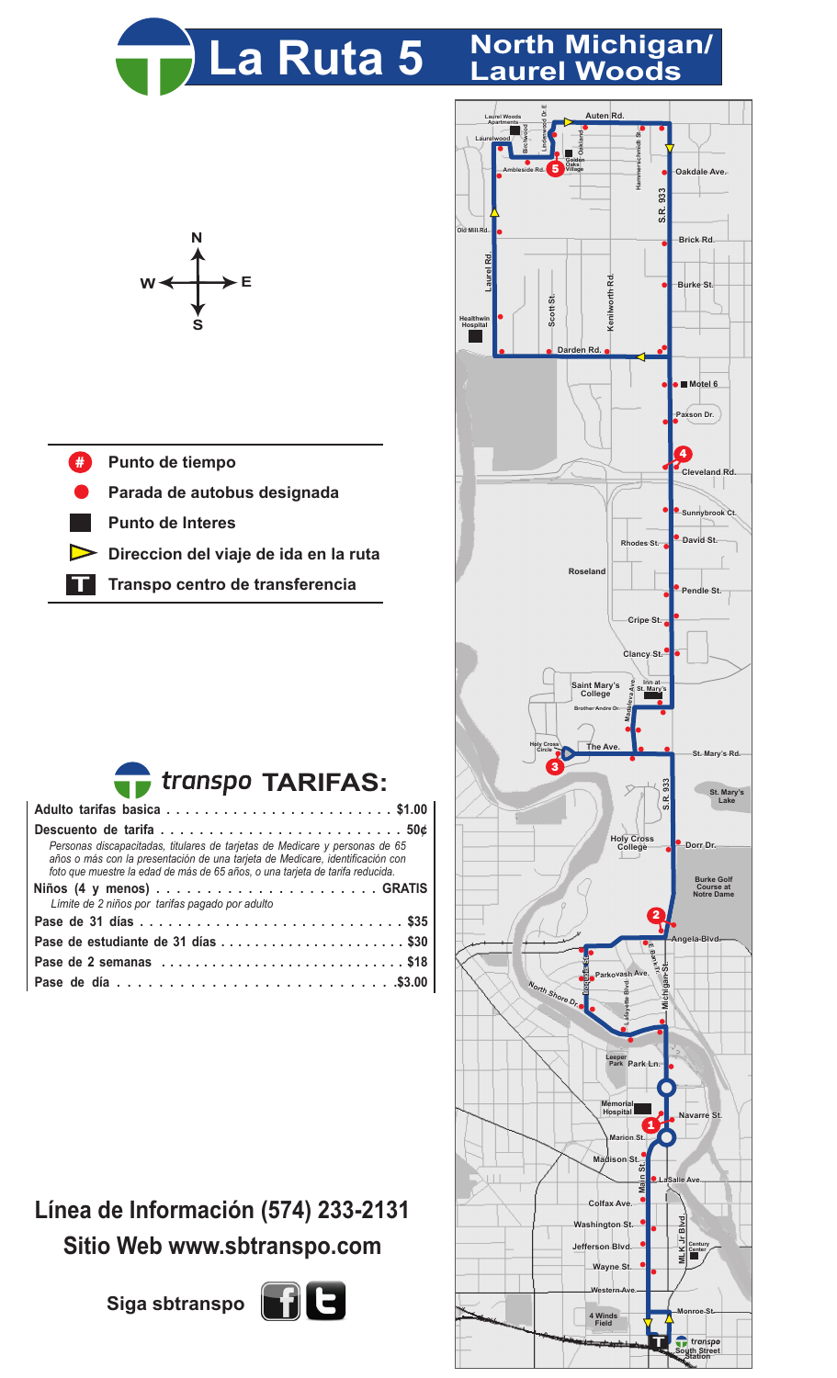

## **La Ruta 5 North Michigan/ Laurel Woods**



- **Punto de tiempo** #
- **Parada de autobus designada**
- **Punto de Interes**
- **Direccion del viaje de ida en la ruta**
- **T Transpo centro de transferencia**



| Personas discapacitadas, titulares de tarietas de Medicare y personas de 65<br>años o más con la presentación de una tarjeta de Medicare, identificación con<br>foto que muestre la edad de más de 65 años, o una tarjeta de tarifa reducida. |  |  |  |  |  |  |  |  |
|-----------------------------------------------------------------------------------------------------------------------------------------------------------------------------------------------------------------------------------------------|--|--|--|--|--|--|--|--|
|                                                                                                                                                                                                                                               |  |  |  |  |  |  |  |  |
| Límite de 2 niños por tarifas pagado por adulto                                                                                                                                                                                               |  |  |  |  |  |  |  |  |
|                                                                                                                                                                                                                                               |  |  |  |  |  |  |  |  |
| Pase de estudiante de 31 días  \$30                                                                                                                                                                                                           |  |  |  |  |  |  |  |  |
| Pase de 2 semanas \$18                                                                                                                                                                                                                        |  |  |  |  |  |  |  |  |
|                                                                                                                                                                                                                                               |  |  |  |  |  |  |  |  |

## **Línea de Información (574) 233-2131 Sitio Web www.sbtranspo.com**





**South Street Station**